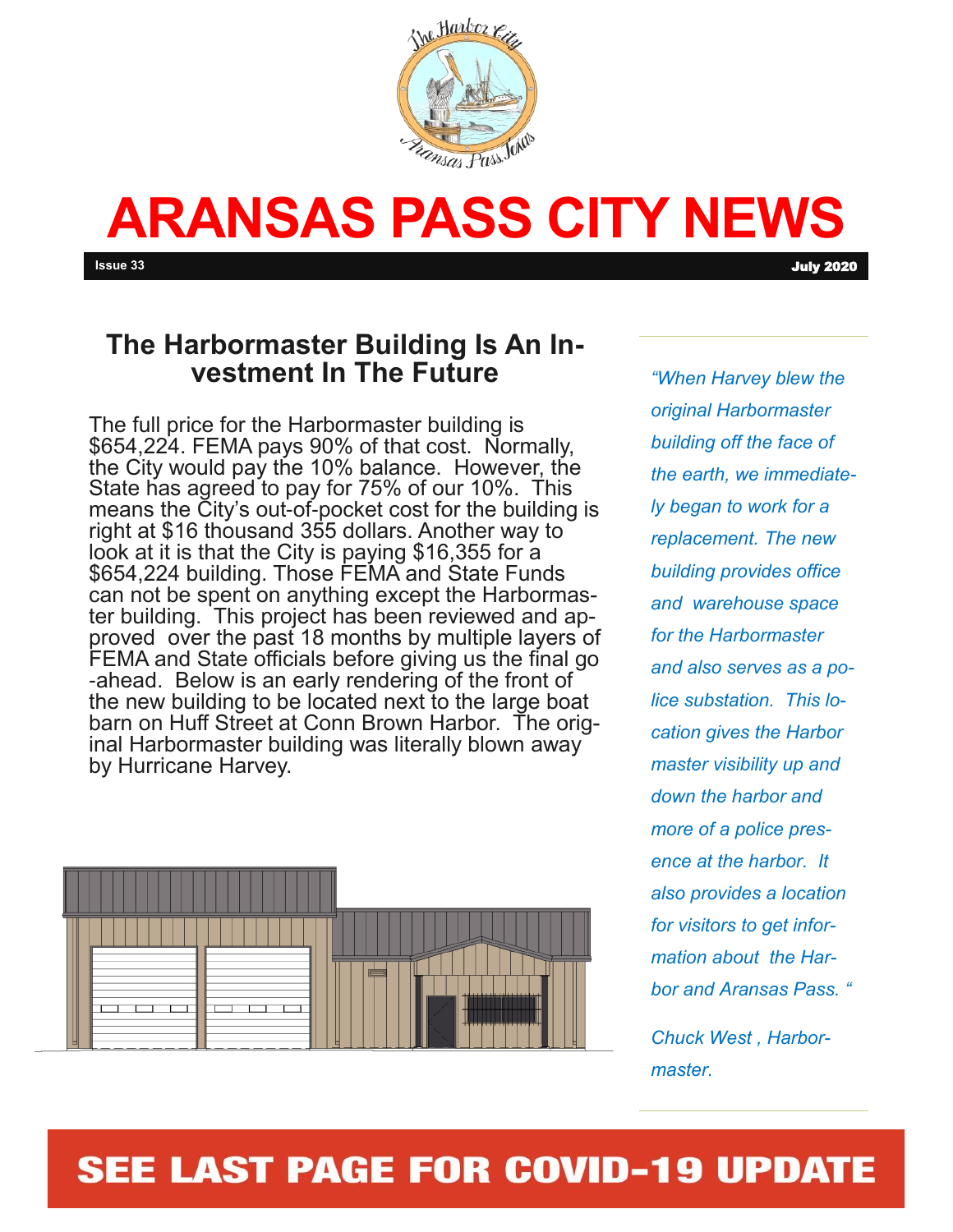

# **ARANSAS PASS CITY NEWS**

#### **The Harbormaster Building Is An Investment In The Future**

The full price for the Harbormaster building is \$654,224. FEMA pays 90% of that cost. Normally, the City would pay the 10% balance. However, the State has agreed to pay for 75% of our 10%. This means the City's out-of-pocket cost for the building is right at \$16 thousand 355 dollars. Another way to look at it is that the City is paying \$16,355 for a \$654,224 building. Those FEMA and State Funds can not be spent on anything except the Harbormaster building. This project has been reviewed and approved over the past 18 months by multiple layers of FEMA and State officials before giving us the final go -ahead. Below is an early rendering of the front of the new building to be located next to the large boat barn on Huff Street at Conn Brown Harbor. The original Harbormaster building was literally blown away by Hurricane Harvey.



*"When Harvey blew the original Harbormaster building off the face of the earth, we immediately began to work for a replacement. The new building provides office and warehouse space for the Harbormaster and also serves as a police substation. This location gives the Harbor master visibility up and down the harbor and more of a police presence at the harbor. It also provides a location for visitors to get information about the Harbor and Aransas Pass. "*

*Chuck West , Harbormaster.* 

# **SEE LAST PAGE FOR COVID-19 UPDATE**

**Issue 33** July 2020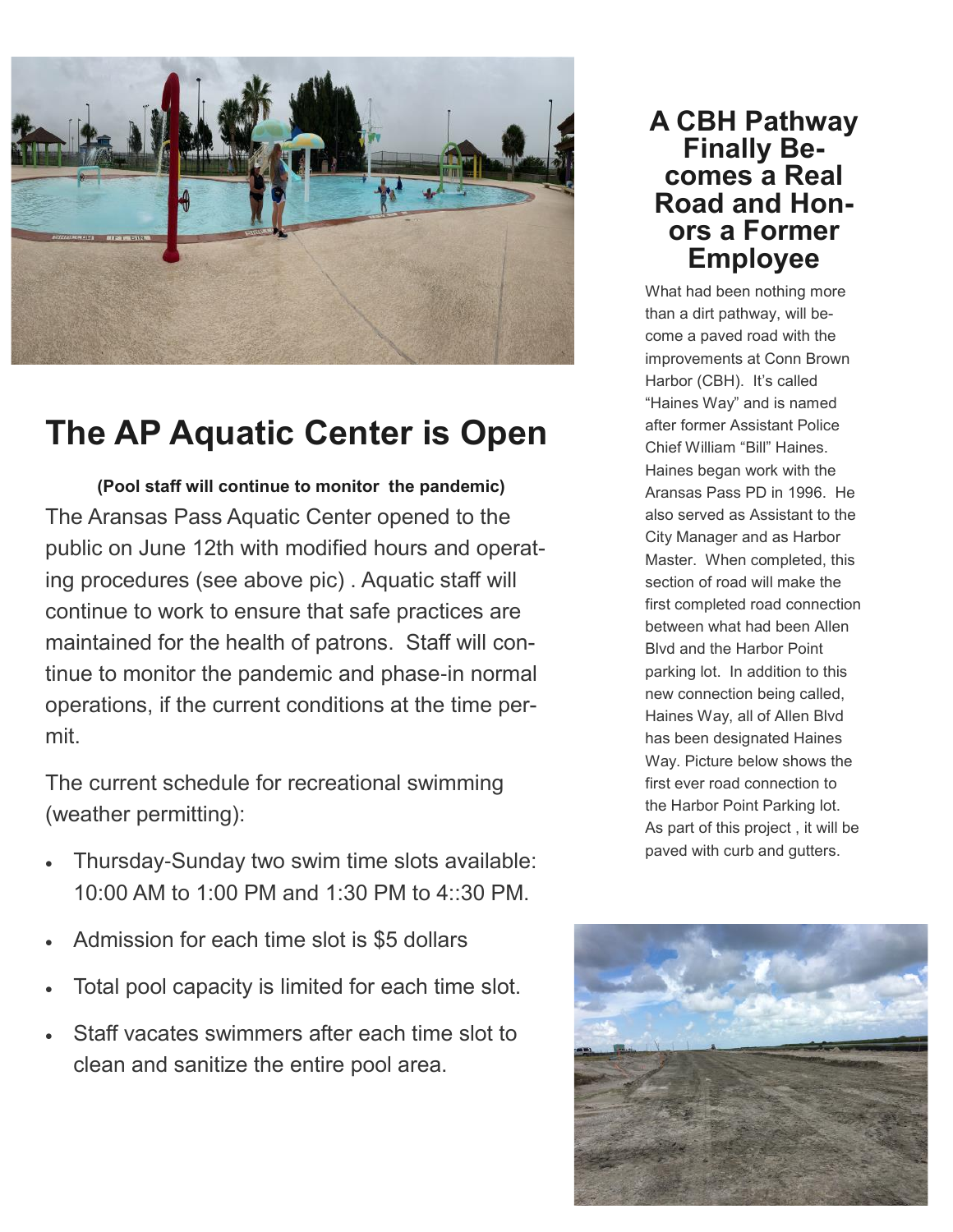

# **The AP Aquatic Center is Open**

**(Pool staff will continue to monitor the pandemic)** The Aransas Pass Aquatic Center opened to the public on June 12th with modified hours and operating procedures (see above pic) . Aquatic staff will continue to work to ensure that safe practices are maintained for the health of patrons. Staff will continue to monitor the pandemic and phase-in normal operations, if the current conditions at the time permit.

The current schedule for recreational swimming (weather permitting):

- Thursday-Sunday two swim time slots available: 10:00 AM to 1:00 PM and 1:30 PM to 4::30 PM.
- Admission for each time slot is \$5 dollars
- Total pool capacity is limited for each time slot.
- Staff vacates swimmers after each time slot to clean and sanitize the entire pool area.

#### **A CBH Pathway Finally Becomes a Real Road and Honors a Former Employee**

What had been nothing more than a dirt pathway, will become a paved road with the improvements at Conn Brown Harbor (CBH). It's called "Haines Way" and is named after former Assistant Police Chief William "Bill" Haines. Haines began work with the Aransas Pass PD in 1996. He also served as Assistant to the City Manager and as Harbor Master. When completed, this section of road will make the first completed road connection between what had been Allen Blvd and the Harbor Point parking lot. In addition to this new connection being called, Haines Way, all of Allen Blvd has been designated Haines Way. Picture below shows the first ever road connection to the Harbor Point Parking lot. As part of this project , it will be paved with curb and gutters.

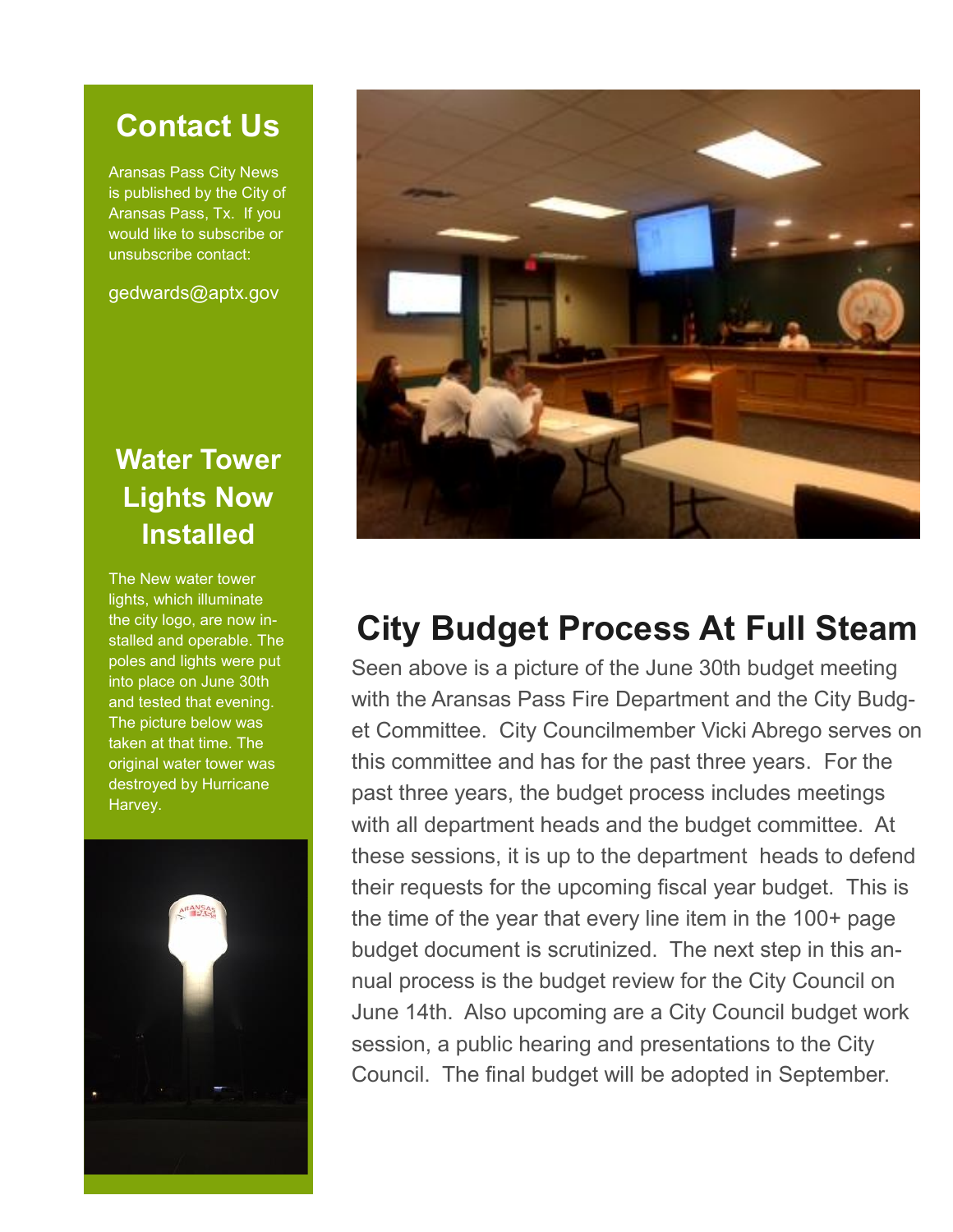## **Contact Us**

Aransas Pass City News is published by the City of Aransas Pass, Tx. If you would like to subscribe or unsubscribe contact:

gedwards@aptx.gov

### **Water Tower Lights Now Installed**

The New water tower lights, which illuminate the city logo, are now installed and operable. The poles and lights were put into place on June 30th and tested that evening. The picture below was taken at that time. The original water tower was destroyed by Hurricane Harvey.





# **City Budget Process At Full Steam**

Seen above is a picture of the June 30th budget meeting with the Aransas Pass Fire Department and the City Budget Committee. City Councilmember Vicki Abrego serves on this committee and has for the past three years. For the past three years, the budget process includes meetings with all department heads and the budget committee. At these sessions, it is up to the department heads to defend their requests for the upcoming fiscal year budget. This is the time of the year that every line item in the 100+ page budget document is scrutinized. The next step in this annual process is the budget review for the City Council on June 14th. Also upcoming are a City Council budget work session, a public hearing and presentations to the City Council. The final budget will be adopted in September.